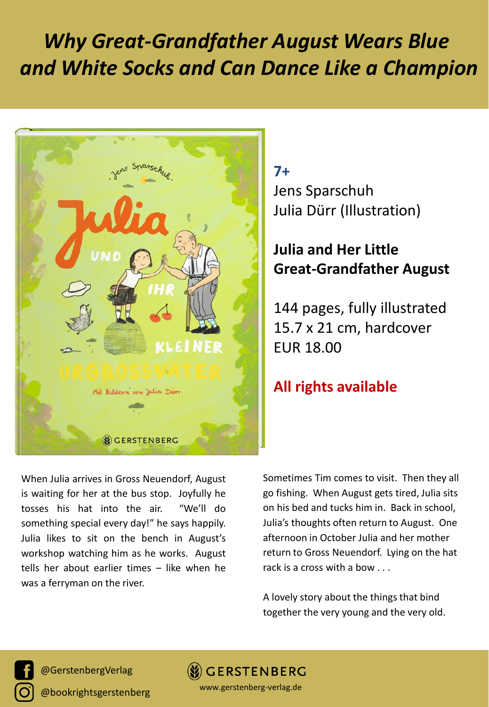# *Why Great-Grandfather August Wears Blue and White Socks and Can Dance Like a Champion*



## **7+** Jens Sparschuh Julia Dürr (Illustration)

# **Julia and Her Little Great-Grandfather August**

144 pages, fully illustrated 15.7 x 21 cm, hardcover EUR 18.00

### **All rights available**

When Julia arrives in Gross Neuendorf, August is waiting for her at the bus stop. Joyfully he tosses his hat into the air. "We'll do something special every day!" he says happily. Julia likes to sit on the bench in August's workshop watching him as he works. August tells her about earlier times – like when he was a ferryman on the river.

Sometimes Tim comes to visit. Then they all go fishing. When August gets tired, Julia sits on his bed and tucks him in. Back in school, Julia's thoughts often return to August. One afternoon in October Julia and her mother return to Gross Neuendorf. Lying on the hat rack is a cross with a bow . . .

A lovely story about the things that bind together the very young and the very old.

@GerstenbergVerlag

@bookrightsgerstenberg

**GERSTENBERG** www.gerstenberg-verlag.de